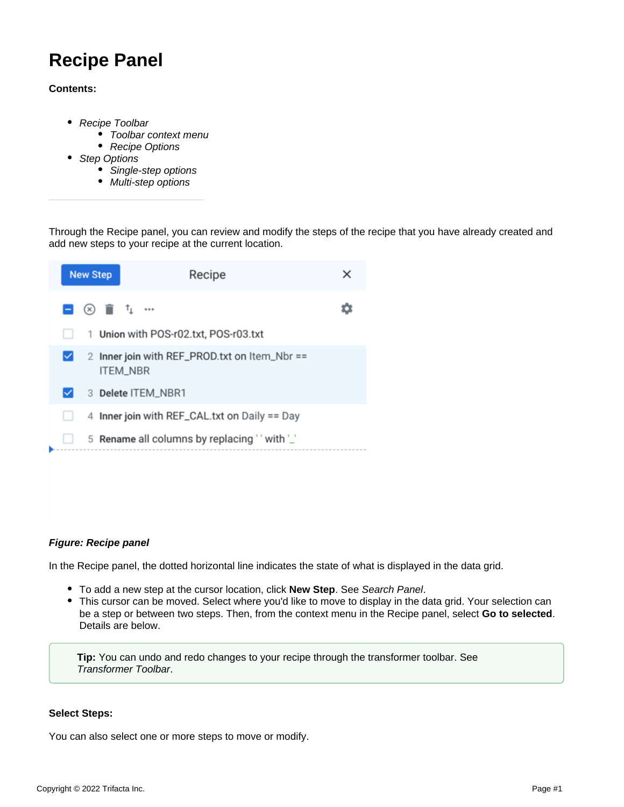# **Recipe Panel**

# **Contents:**

- [Recipe Toolbar](#page-1-0)
	- [Toolbar context menu](#page-1-1)
	- [Recipe Options](#page-2-0)
- [Step Options](#page-3-0)
	- [Single-step options](#page-3-1)
	- [Multi-step options](#page-3-2)

Through the Recipe panel, you can review and modify the steps of the recipe that you have already created and add new steps to your recipe at the current location.

|   | <b>New Step</b>                                                                                                                         | Recipe                                                           | × |
|---|-----------------------------------------------------------------------------------------------------------------------------------------|------------------------------------------------------------------|---|
|   | $\begin{array}{c} \blacksquare \end{array}$ (x) $\begin{array}{c} \blacksquare \end{array}$ $\begin{array}{c} \blacksquare \end{array}$ |                                                                  |   |
|   |                                                                                                                                         | 1 Union with POS-r02.txt, POS-r03.txt                            |   |
| ✓ |                                                                                                                                         | 2 Inner join with REF_PROD.txt on Item_Nbr ==<br><b>ITEM NBR</b> |   |
|   |                                                                                                                                         | 3 Delete ITEM_NBR1                                               |   |
|   |                                                                                                                                         | 4 Inner join with REF_CAL.txt on Daily == Day                    |   |
|   |                                                                                                                                         | 5 Rename all columns by replacing " with "                       |   |
|   |                                                                                                                                         |                                                                  |   |
|   |                                                                                                                                         |                                                                  |   |

# **Figure: Recipe panel**

In the Recipe panel, the dotted horizontal line indicates the state of what is displayed in the data grid.

- To add a new step at the cursor location, click **New Step**. See [Search Panel](https://docs.trifacta.com/display/r071/Search+Panel).
- This cursor can be moved. Select where you'd like to move to display in the data grid. Your selection can be a step or between two steps. Then, from the context menu in the Recipe panel, select **Go to selected**. Details are below.

**Tip:** You can undo and redo changes to your recipe through the transformer toolbar. See [Transformer Toolbar](https://docs.trifacta.com/display/r071/Transformer+Toolbar).

# **Select Steps:**

You can also select one or more steps to move or modify.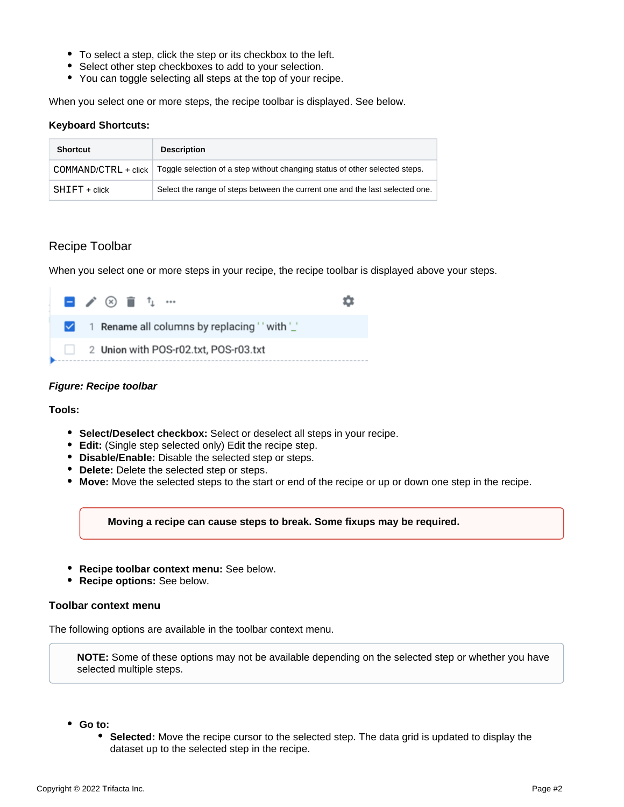- To select a step, click the step or its checkbox to the left.
- Select other step checkboxes to add to your selection.
- You can toggle selecting all steps at the top of your recipe.

When you select one or more steps, the recipe toolbar is displayed. See below.

#### **Keyboard Shortcuts:**

| <b>Shortcut</b>        | <b>Description</b>                                                           |  |  |
|------------------------|------------------------------------------------------------------------------|--|--|
| $COMMAND/CTRL + click$ | Toggle selection of a step without changing status of other selected steps.  |  |  |
| $SHIFT + click$        | Select the range of steps between the current one and the last selected one. |  |  |

# <span id="page-1-0"></span>Recipe Toolbar

When you select one or more steps in your recipe, the recipe toolbar is displayed above your steps.

|   | ! ■ / ⊗ m f」… |  |                                            |  |
|---|---------------|--|--------------------------------------------|--|
| ☑ |               |  | 1 Rename all columns by replacing " with " |  |
|   |               |  | 2 Union with POS-r02.txt, POS-r03.txt      |  |

# **Figure: Recipe toolbar**

**Tools:**

- **Select/Deselect checkbox:** Select or deselect all steps in your recipe.
- **Edit:** (Single step selected only) Edit the recipe step.
- **Disable/Enable:** Disable the selected step or steps.
- **Delete:** Delete the selected step or steps.
- **Move:** Move the selected steps to the start or end of the recipe or up or down one step in the recipe.

**Moving a recipe can cause steps to break. Some fixups may be required.**

- **Recipe toolbar context menu:** See below.
- $\bullet$ **Recipe options:** See below.

# <span id="page-1-1"></span>**Toolbar context menu**

The following options are available in the toolbar context menu.

**NOTE:** Some of these options may not be available depending on the selected step or whether you have selected multiple steps.

- **Go to:** 
	- **Selected:** Move the recipe cursor to the selected step. The data grid is updated to display the dataset up to the selected step in the recipe.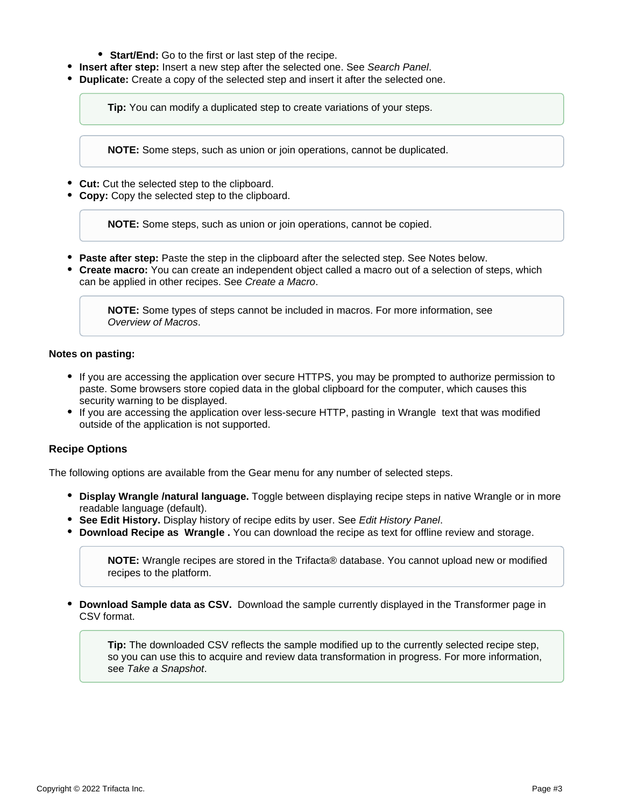- **Start/End:** Go to the first or last step of the recipe.
- **Insert after step:** Insert a new step after the selected one. See [Search Panel](https://docs.trifacta.com/display/r071/Search+Panel).
- **Duplicate:** Create a copy of the selected step and insert it after the selected one.

**Tip:** You can modify a duplicated step to create variations of your steps.

**NOTE:** Some steps, such as union or join operations, cannot be duplicated.

- **Cut:** Cut the selected step to the clipboard.
- **Copy:** Copy the selected step to the clipboard.

**NOTE:** Some steps, such as union or join operations, cannot be copied.

- **Paste after step:** Paste the step in the clipboard after the selected step. See Notes below.
- **Create macro:** You can create an independent object called a macro out of a selection of steps, which can be applied in other recipes. See [Create a Macro](https://docs.trifacta.com/display/r071/Create+a+Macro).

**NOTE:** Some types of steps cannot be included in macros. For more information, see [Overview of Macros](https://docs.trifacta.com/display/r071/Overview+of+Macros).

#### **Notes on pasting:**

- If you are accessing the application over secure HTTPS, you may be prompted to authorize permission to paste. Some browsers store copied data in the global clipboard for the computer, which causes this security warning to be displayed.
- If you are accessing the application over less-secure HTTP, pasting in Wrangle text that was modified outside of the application is not supported.

# <span id="page-2-0"></span>**Recipe Options**

The following options are available from the Gear menu for any number of selected steps.

- **Display Wrangle /natural language.** Toggle between displaying recipe steps in native Wrangle or in more readable language (default).
- **See Edit History.** Display history of recipe edits by user. See [Edit History Panel](https://docs.trifacta.com/display/r071/Edit+History+Panel).
- **Download Recipe as Wrangle .** You can download the recipe as text for offline review and storage.

**NOTE:** Wrangle recipes are stored in the Trifacta® database. You cannot upload new or modified recipes to the platform.

**Download Sample data as CSV.** Download the sample currently displayed in the Transformer page in CSV format.

**Tip:** The downloaded CSV reflects the sample modified up to the currently selected recipe step, so you can use this to acquire and review data transformation in progress. For more information, see [Take a Snapshot](https://docs.trifacta.com/display/r071/Take+a+Snapshot).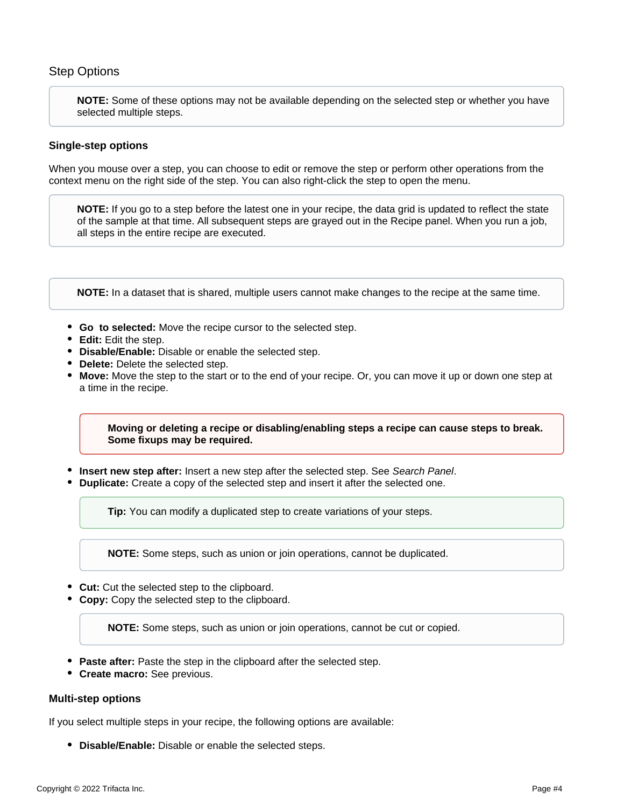# <span id="page-3-0"></span>Step Options

**NOTE:** Some of these options may not be available depending on the selected step or whether you have selected multiple steps.

# <span id="page-3-1"></span>**Single-step options**

When you mouse over a step, you can choose to edit or remove the step or perform other operations from the context menu on the right side of the step. You can also right-click the step to open the menu.

**NOTE:** If you go to a step before the latest one in your recipe, the data grid is updated to reflect the state of the sample at that time. All subsequent steps are grayed out in the Recipe panel. When you run a job, all steps in the entire recipe are executed.

**NOTE:** In a dataset that is shared, multiple users cannot make changes to the recipe at the same time.

- **Go to selected:** Move the recipe cursor to the selected step.
- **Edit:** Edit the step.
- **Disable/Enable:** Disable or enable the selected step.
- **Delete:** Delete the selected step.
- **Move:** Move the step to the start or to the end of your recipe. Or, you can move it up or down one step at a time in the recipe.

# **Moving or deleting a recipe or disabling/enabling steps a recipe can cause steps to break. Some fixups may be required.**

- **Insert new step after:** Insert a new step after the selected step. See [Search Panel](https://docs.trifacta.com/display/r071/Search+Panel).
- **Duplicate:** Create a copy of the selected step and insert it after the selected one.

**Tip:** You can modify a duplicated step to create variations of your steps.

**NOTE:** Some steps, such as union or join operations, cannot be duplicated.

- **Cut:** Cut the selected step to the clipboard.
- **Copy:** Copy the selected step to the clipboard.

**NOTE:** Some steps, such as union or join operations, cannot be cut or copied.

- **Paste after:** Paste the step in the clipboard after the selected step.
- **Create macro:** See previous.

# <span id="page-3-2"></span>**Multi-step options**

If you select multiple steps in your recipe, the following options are available:

**Disable/Enable:** Disable or enable the selected steps.